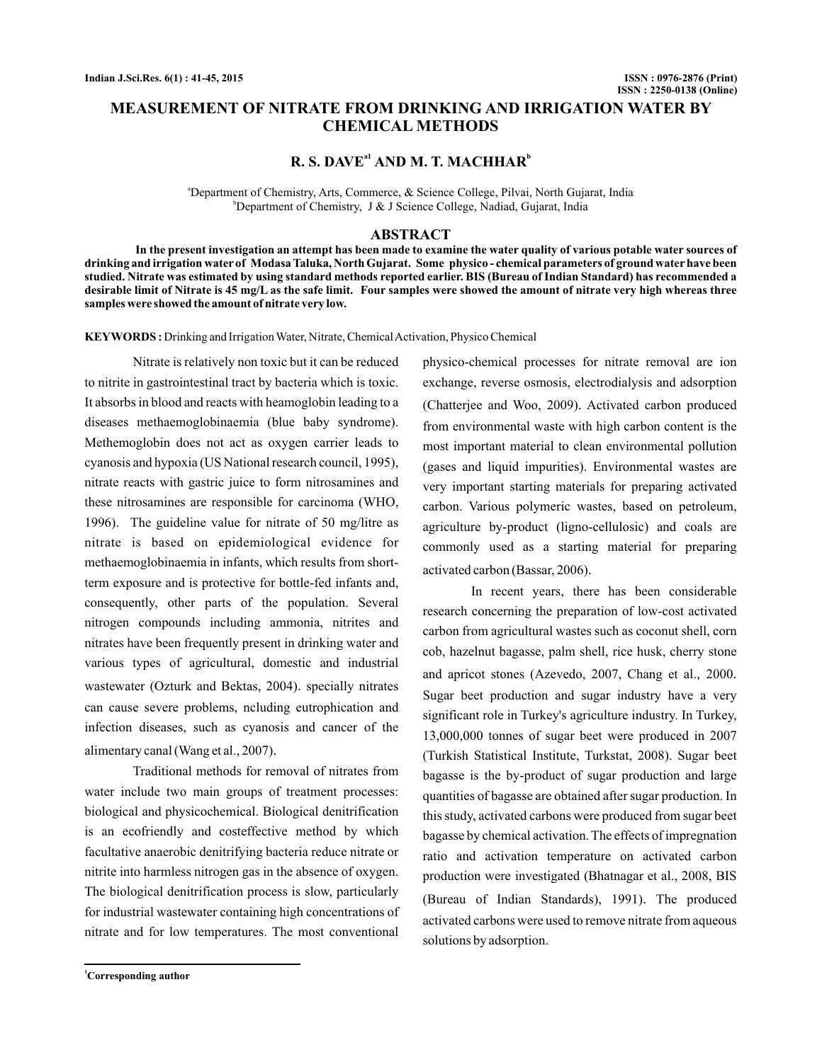## **MEASUREMENT OF NITRATE FROM DRINKING AND IRRIGATION WATER BY CHEMICAL METHODS**

# $R. S. DAVE<sup>al</sup> AND M. T. MACHHAR<sup>b</sup>$

a Department of Chemistry, Arts, Commerce, & Science College, Pilvai, North Gujarat, India b Department of Chemistry, J & J Science College, Nadiad, Gujarat, India

#### **ABSTRACT**

**In the present investigation an attempt has been made to examine the water quality of various potable water sources of drinking and irrigation water of Modasa Taluka, North Gujarat. Some physico - chemical parameters of ground water have been studied. Nitrate was estimated by using standard methods reported earlier. BIS (Bureau of Indian Standard) has recommended a desirable limit of Nitrate is 45 mg/L as the safe limit. Four samples were showed the amount of nitrate very high whereas three samples were showed the amount of nitrate very low.**

**KEYWORDS :** Drinking and Irrigation Water, Nitrate, Chemical Activation, Physico Chemical

Nitrate is relatively non toxic but it can be reduced to nitrite in gastrointestinal tract by bacteria which is toxic. It absorbs in blood and reacts with heamoglobin leading to a diseases methaemoglobinaemia (blue baby syndrome). Methemoglobin does not act as oxygen carrier leads to cyanosis and hypoxia (US National research council, 1995), nitrate reacts with gastric juice to form nitrosamines and these nitrosamines are responsible for carcinoma (WHO, 1996). The guideline value for nitrate of 50 mg/litre as nitrate is based on epidemiological evidence for methaemoglobinaemia in infants, which results from shortterm exposure and is protective for bottle-fed infants and, consequently, other parts of the population. Several nitrogen compounds including ammonia, nitrites and nitrates have been frequently present in drinking water and various types of agricultural, domestic and industrial wastewater (Ozturk and Bektas, 2004). specially nitrates can cause severe problems, ncluding eutrophication and infection diseases, such as cyanosis and cancer of the alimentary canal (Wang et al., 2007) .

Traditional methods for removal of nitrates from water include two main groups of treatment processes: biological and physicochemical. Biological denitrification is an ecofriendly and costeffective method by which facultative anaerobic denitrifying bacteria reduce nitrate or nitrite into harmless nitrogen gas in the absence of oxygen. The biological denitrification process is slow, particularly for industrial wastewater containing high concentrations of nitrate and for low temperatures. The most conventional

**<sup>1</sup>Corresponding author**

physico-chemical processes for nitrate removal are ion exchange, reverse osmosis, electrodialysis and adsorption (Chatterjee and Woo, 2009). Activated carbon produced from environmental waste with high carbon content is the most important material to clean environmental pollution (gases and liquid impurities). Environmental wastes are very important starting materials for preparing activated carbon. Various polymeric wastes, based on petroleum, agriculture by-product (ligno-cellulosic) and coals are commonly used as a starting material for preparing activated carbon (Bassar, 2006) .

In recent years, there has been considerable research concerning the preparation of low-cost activated carbon from agricultural wastes such as coconut shell, corn cob, hazelnut bagasse, palm shell, rice husk, cherry stone and apricot stones (Azevedo, 2007, Chang et al., 2000. Sugar beet production and sugar industry have a very significant role in Turkey's agriculture industry. In Turkey, 13,000,000 tonnes of sugar beet were produced in 2007 (Turkish Statistical Institute, Turkstat, 2008). Sugar beet bagasse is the by-product of sugar production and large quantities of bagasse are obtained after sugar production. In this study, activated carbons were produced from sugar beet bagasse by chemical activation. The effects of impregnation ratio and activation temperature on activated carbon production were investigated (Bhatnagar et al., 2008, BIS (Bureau of Indian Standards), 1991). The produced activated carbons were used to remove nitrate from aqueous solutions by adsorption.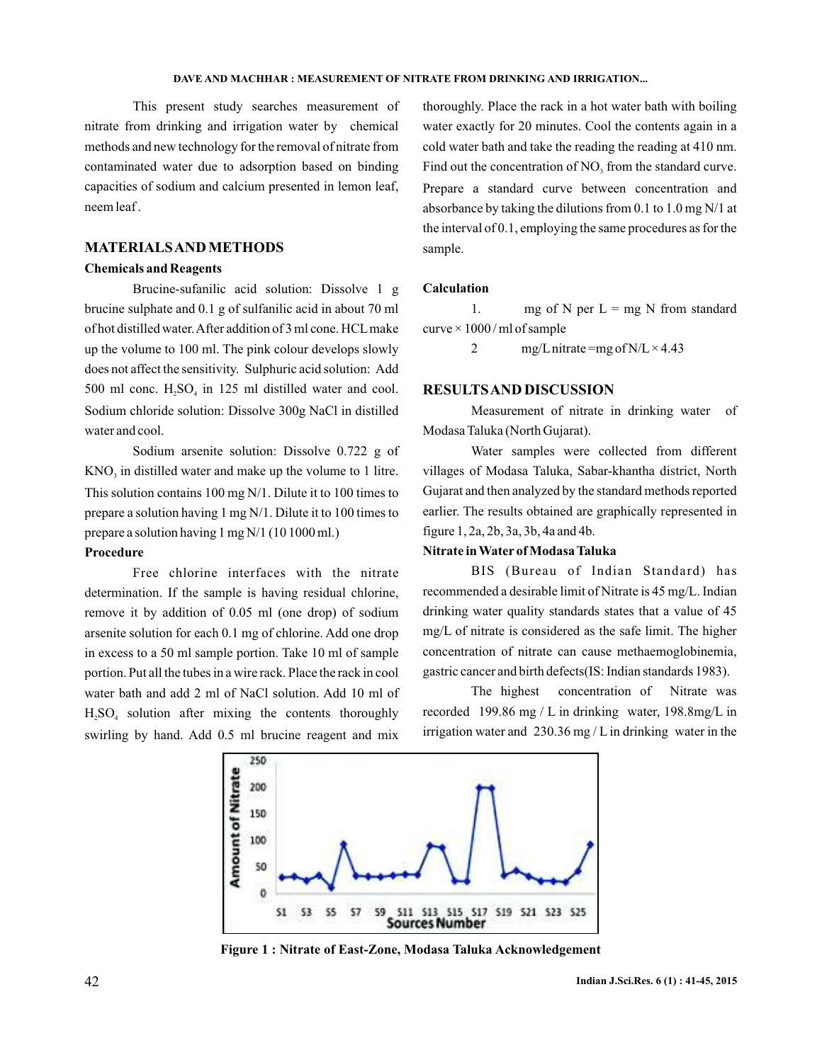#### **DAVE AND MACHHAR: MEASUREMENT OF NITRATE FROM DRINKING AND IRRIGATION...**

This present study searches measurement of nitrate from drinking and irrigation water by chemical methods and new technology for the removal of nitrate from contaminated water due to adsorption based on binding capacities of sodium and calcium presented in lemon leaf, neem leaf .

#### **MATERIALSAND METHODS**

#### **Chemicals and Reagents**

Brucine-sufanilic acid solution: Dissolve 1 g brucine sulphate and 0.1 g of sulfanilic acid in about 70 ml of hot distilled water.After addition of 3 ml cone. HCLmake up the volume to 100 ml. The pink colour develops slowly does not affect the sensitivity. Sulphuric acid solution: Add 500 ml conc.  $H_2SO_4$  in 125 ml distilled water and cool. Sodium chloride solution: Dissolve 300g NaCl in distilled water and cool.

Sodium arsenite solution: Dissolve 0.722 g of  $KNO<sub>3</sub>$  in distilled water and make up the volume to 1 litre. This solution contains 100 mg N/1. Dilute it to 100 times to prepare a solution having 1 mg N/1. Dilute it to 100 times to prepare a solution having 1 mg N/1 (10 1000 ml.)

## **Procedure**

Free chlorine interfaces with the nitrate determination. If the sample is having residual chlorine, remove it by addition of 0.05 ml (one drop) of sodium arsenite solution for each 0.1 mg of chlorine. Add one drop in excess to a 50 ml sample portion. Take 10 ml of sample portion. Put all the tubes in a wire rack. Place the rack in cool water bath and add 2 ml of NaCl solution. Add 10 ml of  $H<sub>2</sub>SO<sub>4</sub>$  solution after mixing the contents thoroughly swirling by hand. Add 0.5 ml brucine reagent and mix

thoroughly. Place the rack in a hot water bath with boiling water exactly for 20 minutes. Cool the contents again in a cold water bath and take the reading the reading at 410 nm. Find out the concentration of  $NO<sub>3</sub>$  from the standard curve. Prepare a standard curve between concentration and absorbance by taking the dilutions from 0.1 to 1.0 mg N/1 at the interval of 0.1, employing the same procedures as for the sample.

#### **Calculation**

1. mg of N per  $L = mg N$  from standard  $curve \times 1000$  / ml of sample

2 mg/L nitrate =mg of N/L  $\times$  4.43

#### **RESULTSAND DISCUSSION**

Measurement of nitrate in drinking water of Modasa Taluka (North Gujarat).

Water samples were collected from different villages of Modasa Taluka, Sabar-khantha district, North Gujarat and then analyzed by the standard methods reported earlier. The results obtained are graphically represented in figure 1, 2a, 2b, 3a, 3b, 4a and 4b.

#### **Nitrate in Water of Modasa Taluka**

BIS (Bureau of Indian Standard) has recommended a desirable limit of Nitrate is 45 mg/L. Indian drinking water quality standards states that a value of 45 mg/L of nitrate is considered as the safe limit. The higher concentration of nitrate can cause methaemoglobinemia, gastric cancer and birth defects(IS: Indian standards 1983).

The highest concentration of Nitrate was recorded 199.86 mg / L in drinking water, 198.8mg/L in irrigation water and 230.36 mg / L in drinking water in the



**Figure 1 : Nitrate of East-Zone, Modasa Taluka Acknowledgement**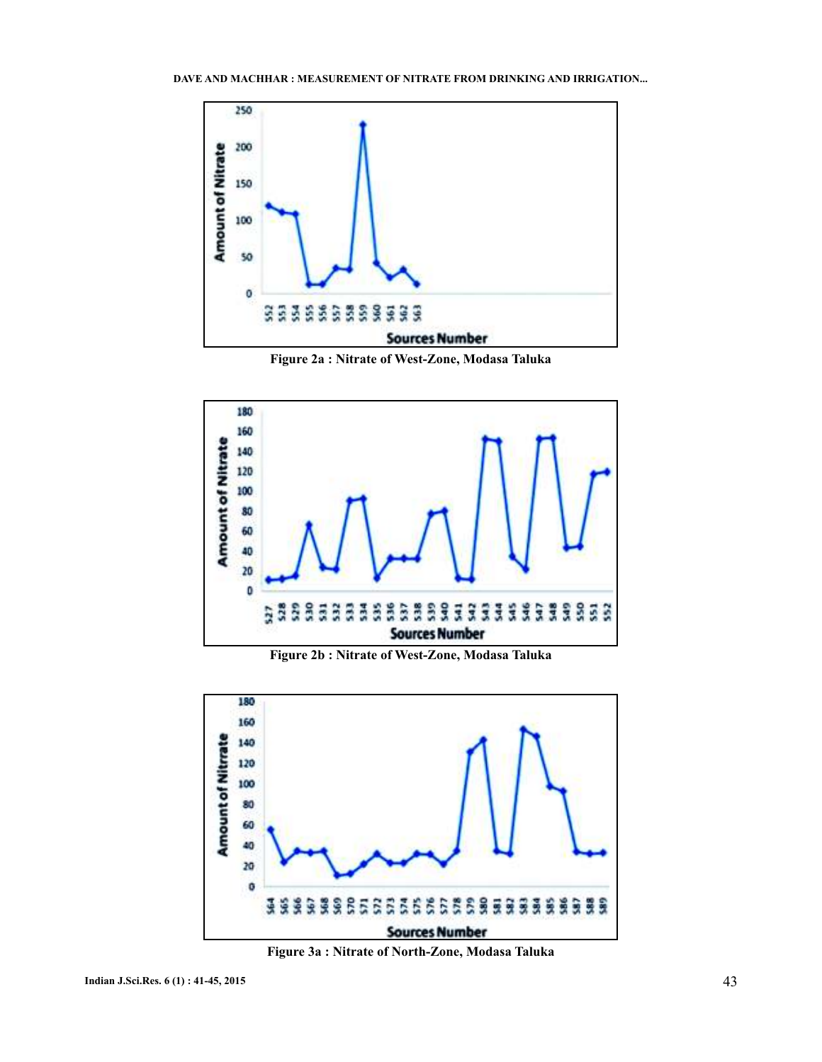

**Figure 2a : Nitrate of West-Zone, Modasa Taluka**



**Figure 2b : Nitrate of West-Zone, Modasa Taluka**



**Figure 3a : Nitrate of North-Zone, Modasa Taluka**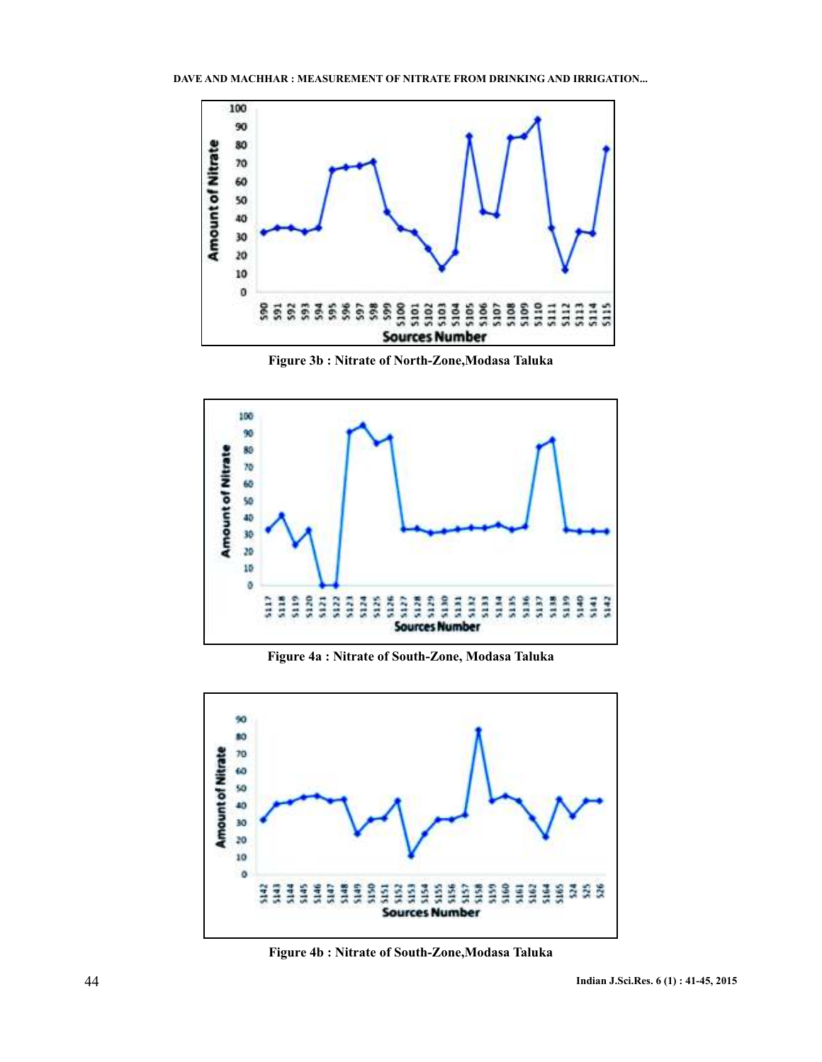

**Figure 3b : Nitrate of North-Zone,Modasa Taluka**



**Figure 4a : Nitrate of South-Zone, Modasa Taluka**



**Figure 4b : Nitrate of South-Zone,Modasa Taluka**